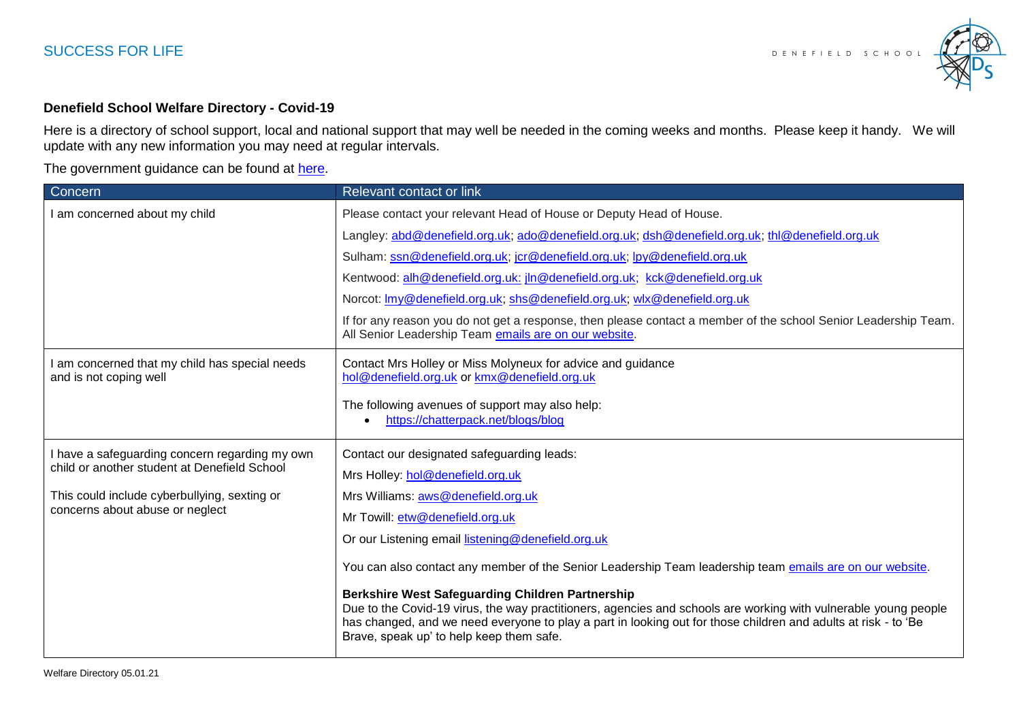

## **Denefield School Welfare Directory - Covid-19**

Here is a directory of school support, local and national support that may well be needed in the coming weeks and months. Please keep it handy. We will update with any new information you may need at regular intervals.

The government guidance can be found at [here.](https://www.gov.uk/government/publications/covid-19-guidance-on-supporting-children-and-young-peoples-mental-health-and-wellbeing/guidance-for-parents-and-carers-on-supporting-children-and-young-peoples-mental-health-and-wellbeing-during-the-coronavirus-covid-19-outbreak)

| Concern                                                                                        | Relevant contact or link                                                                                                                                                                                                                                                                                                                 |
|------------------------------------------------------------------------------------------------|------------------------------------------------------------------------------------------------------------------------------------------------------------------------------------------------------------------------------------------------------------------------------------------------------------------------------------------|
| I am concerned about my child                                                                  | Please contact your relevant Head of House or Deputy Head of House.                                                                                                                                                                                                                                                                      |
|                                                                                                | Langley: abd@denefield.org.uk; ado@denefield.org.uk; dsh@denefield.org.uk; thl@denefield.org.uk                                                                                                                                                                                                                                          |
|                                                                                                | Sulham: ssn@denefield.org.uk; jcr@denefield.org.uk; lpy@denefield.org.uk                                                                                                                                                                                                                                                                 |
|                                                                                                | Kentwood: alh@denefield.org.uk: jln@denefield.org.uk; kck@denefield.org.uk                                                                                                                                                                                                                                                               |
|                                                                                                | Norcot: Imy@denefield.org.uk; shs@denefield.org.uk; wlx@denefield.org.uk                                                                                                                                                                                                                                                                 |
|                                                                                                | If for any reason you do not get a response, then please contact a member of the school Senior Leadership Team.<br>All Senior Leadership Team emails are on our website.                                                                                                                                                                 |
| I am concerned that my child has special needs<br>and is not coping well                       | Contact Mrs Holley or Miss Molyneux for advice and guidance<br>hol@denefield.org.uk or kmx@denefield.org.uk                                                                                                                                                                                                                              |
|                                                                                                | The following avenues of support may also help:<br>https://chatterpack.net/blogs/blog                                                                                                                                                                                                                                                    |
| I have a safeguarding concern regarding my own<br>child or another student at Denefield School | Contact our designated safeguarding leads:                                                                                                                                                                                                                                                                                               |
|                                                                                                | Mrs Holley: hol@denefield.org.uk                                                                                                                                                                                                                                                                                                         |
| This could include cyberbullying, sexting or<br>concerns about abuse or neglect                | Mrs Williams: aws@denefield.org.uk                                                                                                                                                                                                                                                                                                       |
|                                                                                                | Mr Towill: etw@denefield.org.uk                                                                                                                                                                                                                                                                                                          |
|                                                                                                | Or our Listening email listening@denefield.org.uk                                                                                                                                                                                                                                                                                        |
|                                                                                                | You can also contact any member of the Senior Leadership Team leadership team emails are on our website.                                                                                                                                                                                                                                 |
|                                                                                                | <b>Berkshire West Safeguarding Children Partnership</b><br>Due to the Covid-19 virus, the way practitioners, agencies and schools are working with vulnerable young people<br>has changed, and we need everyone to play a part in looking out for those children and adults at risk - to 'Be<br>Brave, speak up' to help keep them safe. |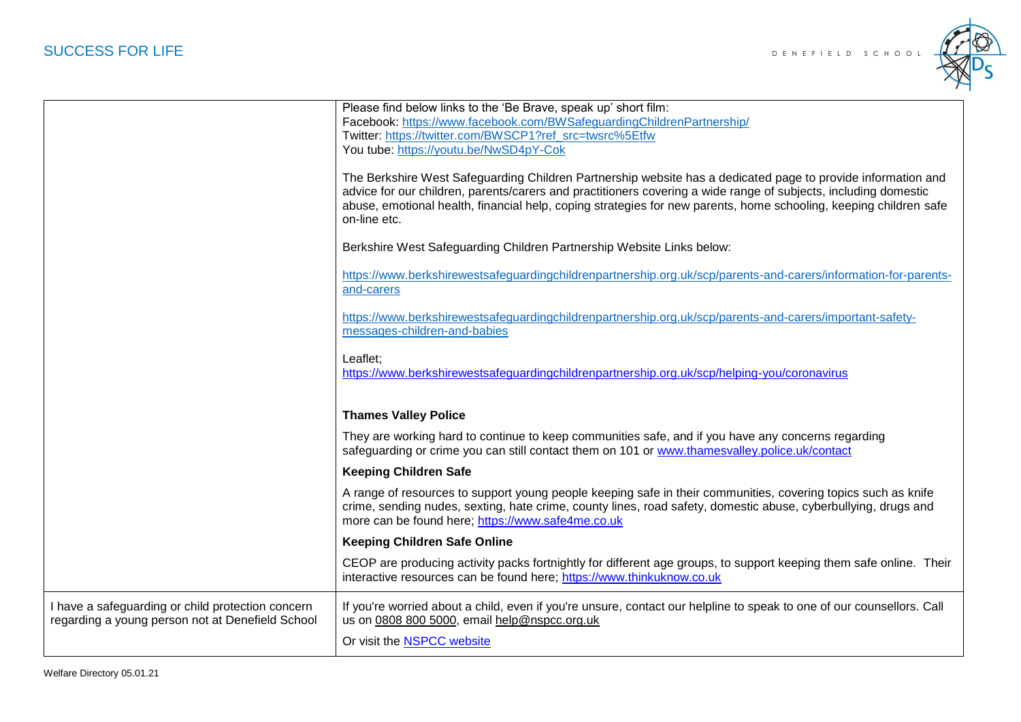

| Facebook: https://www.facebook.com/BWSafeguardingChildrenPartnership/<br>Twitter: https://twitter.com/BWSCP1?ref src=twsrc%5Etfw<br>You tube: https://youtu.be/NwSD4pY-Cok<br>The Berkshire West Safeguarding Children Partnership website has a dedicated page to provide information and<br>advice for our children, parents/carers and practitioners covering a wide range of subjects, including domestic<br>abuse, emotional health, financial help, coping strategies for new parents, home schooling, keeping children safe<br>on-line etc.<br>Berkshire West Safeguarding Children Partnership Website Links below:<br>https://www.berkshirewestsafequardingchildrenpartnership.org.uk/scp/parents-and-carers/information-for-parents-<br>and-carers<br>https://www.berkshirewestsafeguardingchildrenpartnership.org.uk/scp/parents-and-carers/important-safety-<br>messages-children-and-babies<br>Leaflet:<br>https://www.berkshirewestsafeguardingchildrenpartnership.org.uk/scp/helping-you/coronavirus<br><b>Thames Valley Police</b><br>They are working hard to continue to keep communities safe, and if you have any concerns regarding<br>safeguarding or crime you can still contact them on 101 or www.thamesvalley.police.uk/contact<br><b>Keeping Children Safe</b><br>A range of resources to support young people keeping safe in their communities, covering topics such as knife<br>crime, sending nudes, sexting, hate crime, county lines, road safety, domestic abuse, cyberbullying, drugs and<br>more can be found here; https://www.safe4me.co.uk<br><b>Keeping Children Safe Online</b><br>CEOP are producing activity packs fortnightly for different age groups, to support keeping them safe online. Their<br>interactive resources can be found here; https://www.thinkuknow.co.uk<br>If you're worried about a child, even if you're unsure, contact our helpline to speak to one of our counsellors. Call<br>us on 0808 800 5000, email help@nspcc.org.uk<br>Or visit the <b>NSPCC</b> website |                                                                                                       |                                                                 |
|---------------------------------------------------------------------------------------------------------------------------------------------------------------------------------------------------------------------------------------------------------------------------------------------------------------------------------------------------------------------------------------------------------------------------------------------------------------------------------------------------------------------------------------------------------------------------------------------------------------------------------------------------------------------------------------------------------------------------------------------------------------------------------------------------------------------------------------------------------------------------------------------------------------------------------------------------------------------------------------------------------------------------------------------------------------------------------------------------------------------------------------------------------------------------------------------------------------------------------------------------------------------------------------------------------------------------------------------------------------------------------------------------------------------------------------------------------------------------------------------------------------------------------------------------------------------------------------------------------------------------------------------------------------------------------------------------------------------------------------------------------------------------------------------------------------------------------------------------------------------------------------------------------------------------------------------------------------------------------------------------------------------------------------|-------------------------------------------------------------------------------------------------------|-----------------------------------------------------------------|
|                                                                                                                                                                                                                                                                                                                                                                                                                                                                                                                                                                                                                                                                                                                                                                                                                                                                                                                                                                                                                                                                                                                                                                                                                                                                                                                                                                                                                                                                                                                                                                                                                                                                                                                                                                                                                                                                                                                                                                                                                                       |                                                                                                       | Please find below links to the 'Be Brave, speak up' short film: |
|                                                                                                                                                                                                                                                                                                                                                                                                                                                                                                                                                                                                                                                                                                                                                                                                                                                                                                                                                                                                                                                                                                                                                                                                                                                                                                                                                                                                                                                                                                                                                                                                                                                                                                                                                                                                                                                                                                                                                                                                                                       |                                                                                                       |                                                                 |
|                                                                                                                                                                                                                                                                                                                                                                                                                                                                                                                                                                                                                                                                                                                                                                                                                                                                                                                                                                                                                                                                                                                                                                                                                                                                                                                                                                                                                                                                                                                                                                                                                                                                                                                                                                                                                                                                                                                                                                                                                                       |                                                                                                       |                                                                 |
|                                                                                                                                                                                                                                                                                                                                                                                                                                                                                                                                                                                                                                                                                                                                                                                                                                                                                                                                                                                                                                                                                                                                                                                                                                                                                                                                                                                                                                                                                                                                                                                                                                                                                                                                                                                                                                                                                                                                                                                                                                       |                                                                                                       |                                                                 |
|                                                                                                                                                                                                                                                                                                                                                                                                                                                                                                                                                                                                                                                                                                                                                                                                                                                                                                                                                                                                                                                                                                                                                                                                                                                                                                                                                                                                                                                                                                                                                                                                                                                                                                                                                                                                                                                                                                                                                                                                                                       |                                                                                                       |                                                                 |
|                                                                                                                                                                                                                                                                                                                                                                                                                                                                                                                                                                                                                                                                                                                                                                                                                                                                                                                                                                                                                                                                                                                                                                                                                                                                                                                                                                                                                                                                                                                                                                                                                                                                                                                                                                                                                                                                                                                                                                                                                                       |                                                                                                       |                                                                 |
|                                                                                                                                                                                                                                                                                                                                                                                                                                                                                                                                                                                                                                                                                                                                                                                                                                                                                                                                                                                                                                                                                                                                                                                                                                                                                                                                                                                                                                                                                                                                                                                                                                                                                                                                                                                                                                                                                                                                                                                                                                       |                                                                                                       |                                                                 |
|                                                                                                                                                                                                                                                                                                                                                                                                                                                                                                                                                                                                                                                                                                                                                                                                                                                                                                                                                                                                                                                                                                                                                                                                                                                                                                                                                                                                                                                                                                                                                                                                                                                                                                                                                                                                                                                                                                                                                                                                                                       |                                                                                                       |                                                                 |
|                                                                                                                                                                                                                                                                                                                                                                                                                                                                                                                                                                                                                                                                                                                                                                                                                                                                                                                                                                                                                                                                                                                                                                                                                                                                                                                                                                                                                                                                                                                                                                                                                                                                                                                                                                                                                                                                                                                                                                                                                                       |                                                                                                       |                                                                 |
|                                                                                                                                                                                                                                                                                                                                                                                                                                                                                                                                                                                                                                                                                                                                                                                                                                                                                                                                                                                                                                                                                                                                                                                                                                                                                                                                                                                                                                                                                                                                                                                                                                                                                                                                                                                                                                                                                                                                                                                                                                       |                                                                                                       |                                                                 |
|                                                                                                                                                                                                                                                                                                                                                                                                                                                                                                                                                                                                                                                                                                                                                                                                                                                                                                                                                                                                                                                                                                                                                                                                                                                                                                                                                                                                                                                                                                                                                                                                                                                                                                                                                                                                                                                                                                                                                                                                                                       |                                                                                                       |                                                                 |
|                                                                                                                                                                                                                                                                                                                                                                                                                                                                                                                                                                                                                                                                                                                                                                                                                                                                                                                                                                                                                                                                                                                                                                                                                                                                                                                                                                                                                                                                                                                                                                                                                                                                                                                                                                                                                                                                                                                                                                                                                                       |                                                                                                       |                                                                 |
|                                                                                                                                                                                                                                                                                                                                                                                                                                                                                                                                                                                                                                                                                                                                                                                                                                                                                                                                                                                                                                                                                                                                                                                                                                                                                                                                                                                                                                                                                                                                                                                                                                                                                                                                                                                                                                                                                                                                                                                                                                       |                                                                                                       |                                                                 |
|                                                                                                                                                                                                                                                                                                                                                                                                                                                                                                                                                                                                                                                                                                                                                                                                                                                                                                                                                                                                                                                                                                                                                                                                                                                                                                                                                                                                                                                                                                                                                                                                                                                                                                                                                                                                                                                                                                                                                                                                                                       | I have a safeguarding or child protection concern<br>regarding a young person not at Denefield School |                                                                 |
|                                                                                                                                                                                                                                                                                                                                                                                                                                                                                                                                                                                                                                                                                                                                                                                                                                                                                                                                                                                                                                                                                                                                                                                                                                                                                                                                                                                                                                                                                                                                                                                                                                                                                                                                                                                                                                                                                                                                                                                                                                       |                                                                                                       |                                                                 |
|                                                                                                                                                                                                                                                                                                                                                                                                                                                                                                                                                                                                                                                                                                                                                                                                                                                                                                                                                                                                                                                                                                                                                                                                                                                                                                                                                                                                                                                                                                                                                                                                                                                                                                                                                                                                                                                                                                                                                                                                                                       |                                                                                                       |                                                                 |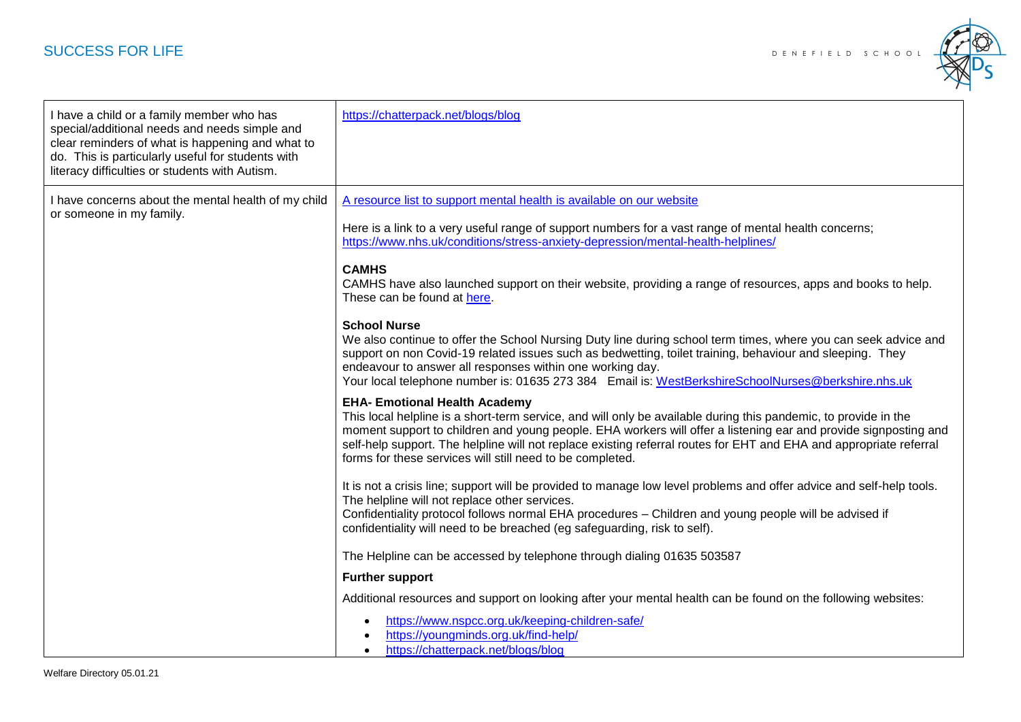## **SUCCESS FOR LIFE** SCHOOL **DENEFIELD** SCHOOL



| I have a child or a family member who has<br>special/additional needs and needs simple and<br>clear reminders of what is happening and what to<br>do. This is particularly useful for students with<br>literacy difficulties or students with Autism. | https://chatterpack.net/blogs/blog                                                                                                                                                                                                                                                                                                                                                                                                                                                                                                                                                                                                                                                                                                                                                                                                                                                                                                                                                                                                                                                                                                                                                                                                                                                                                                                                                                                                                                                                                                                                                                                                                                                                                                                                                                                                                                                                                                                                                                   |
|-------------------------------------------------------------------------------------------------------------------------------------------------------------------------------------------------------------------------------------------------------|------------------------------------------------------------------------------------------------------------------------------------------------------------------------------------------------------------------------------------------------------------------------------------------------------------------------------------------------------------------------------------------------------------------------------------------------------------------------------------------------------------------------------------------------------------------------------------------------------------------------------------------------------------------------------------------------------------------------------------------------------------------------------------------------------------------------------------------------------------------------------------------------------------------------------------------------------------------------------------------------------------------------------------------------------------------------------------------------------------------------------------------------------------------------------------------------------------------------------------------------------------------------------------------------------------------------------------------------------------------------------------------------------------------------------------------------------------------------------------------------------------------------------------------------------------------------------------------------------------------------------------------------------------------------------------------------------------------------------------------------------------------------------------------------------------------------------------------------------------------------------------------------------------------------------------------------------------------------------------------------------|
| I have concerns about the mental health of my child<br>or someone in my family.                                                                                                                                                                       | A resource list to support mental health is available on our website<br>Here is a link to a very useful range of support numbers for a vast range of mental health concerns;<br>https://www.nhs.uk/conditions/stress-anxiety-depression/mental-health-helplines/<br><b>CAMHS</b><br>CAMHS have also launched support on their website, providing a range of resources, apps and books to help.<br>These can be found at here.<br><b>School Nurse</b><br>We also continue to offer the School Nursing Duty line during school term times, where you can seek advice and<br>support on non Covid-19 related issues such as bedwetting, toilet training, behaviour and sleeping. They<br>endeavour to answer all responses within one working day.<br>Your local telephone number is: 01635 273 384 Email is: WestBerkshireSchoolNurses@berkshire.nhs.uk<br><b>EHA- Emotional Health Academy</b><br>This local helpline is a short-term service, and will only be available during this pandemic, to provide in the<br>moment support to children and young people. EHA workers will offer a listening ear and provide signposting and<br>self-help support. The helpline will not replace existing referral routes for EHT and EHA and appropriate referral<br>forms for these services will still need to be completed.<br>It is not a crisis line; support will be provided to manage low level problems and offer advice and self-help tools.<br>The helpline will not replace other services.<br>Confidentiality protocol follows normal EHA procedures - Children and young people will be advised if<br>confidentiality will need to be breached (eg safeguarding, risk to self).<br>The Helpline can be accessed by telephone through dialing 01635 503587<br><b>Further support</b><br>Additional resources and support on looking after your mental health can be found on the following websites:<br>https://www.nspcc.org.uk/keeping-children-safe/<br>https://youngminds.org.uk/find-help/ |
|                                                                                                                                                                                                                                                       | https://chatterpack.net/blogs/blog<br>$\bullet$                                                                                                                                                                                                                                                                                                                                                                                                                                                                                                                                                                                                                                                                                                                                                                                                                                                                                                                                                                                                                                                                                                                                                                                                                                                                                                                                                                                                                                                                                                                                                                                                                                                                                                                                                                                                                                                                                                                                                      |